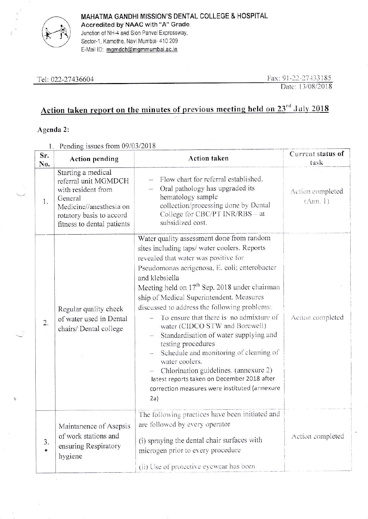

MAHATMA GANDHI MISSION'S DENTAL COLLEGE & HOSPITAL Accredited by NAAC with "A" Grade, Junction of NH-4 and Sion Panvel Expressway, Sector-1, Kamothe, Navi Mumbai- 410 209

E-Mail ID: mgmdch@mgmmumbai.ac.in

Tel: 022-27436604

Fax: 91-22-27433185 Date: 13/08/2018

# Action taken report on the minutes of previous meeting held on 23<sup>rd</sup> July 2018

## Agenda 2:

1. Pending issues from  $09/03/2018$ 

| Sr.<br>No. | <b>Action pending</b>                                                                                                                                            | <b>Action taken</b>                                                                                                                                                                                                                                                                                                                                                                                                                                                                                                                                                                                                                                                                                                    | Current status of<br>task    |
|------------|------------------------------------------------------------------------------------------------------------------------------------------------------------------|------------------------------------------------------------------------------------------------------------------------------------------------------------------------------------------------------------------------------------------------------------------------------------------------------------------------------------------------------------------------------------------------------------------------------------------------------------------------------------------------------------------------------------------------------------------------------------------------------------------------------------------------------------------------------------------------------------------------|------------------------------|
| 1.         | Starting a medical<br>referral unit MGMDCH<br>with resident from<br>General<br>Medicine//anesthesia on<br>rotatory basis to accord<br>fitness to dental patients | Flow chart for referral established.<br>Oral pathology has upgraded its<br>hematology sample<br>collection/processing done by Dental<br>College for CBC/PT INR/RBS – at<br>subsidized cost.                                                                                                                                                                                                                                                                                                                                                                                                                                                                                                                            | Action completed<br>(Ann. 1) |
| 2.         | Regular quality check<br>of water used in Dental<br>chairs/ Dental college                                                                                       | Water quality assessment done from random<br>sites including taps/ water coolers. Reports<br>revealed that water was positive for<br>Pseudomonas aerigenosa, E. coli; enterobacter<br>and klebsiella<br>Meeting held on 17 <sup>th</sup> Sep. 2018 under chairman<br>ship of Medical Superintendent. Measures<br>discussed to address the following problems:<br>To ensure that there is no admixture of<br>water (CIDCO STW and Borewell)<br>Standardisation of water supplying and<br>testing procedures<br>Schedule and monitoring of cleaning of<br>water coolers.<br>Chlorination guidelines. (annexure 2)<br>latest reports taken on December 2018 after<br>correction measures were instituted (annexure<br>2a) | Action completed             |
| 3.         | Maintanence of Asepsis<br>of work stations and<br>ensuring Respiratory<br>hygiene                                                                                | The following practices have been initiated and<br>are followed by every operator<br>(i) spraying the dental chair surfaces with<br>microgen prior to every procedure<br>(ii) Use of protective eyewear has been                                                                                                                                                                                                                                                                                                                                                                                                                                                                                                       | Action completed             |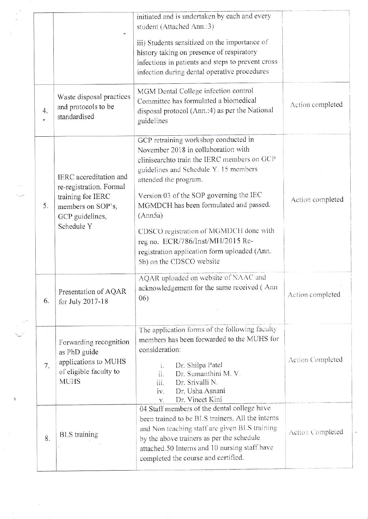|                      | ŧ.                                                                                                                           | initiated and is undertaken by each and every<br>student (Attached Ann.:3)<br>iii) Students sensitized on the importance of                                                                                                                                                                                                                                                                                                                            |                         |
|----------------------|------------------------------------------------------------------------------------------------------------------------------|--------------------------------------------------------------------------------------------------------------------------------------------------------------------------------------------------------------------------------------------------------------------------------------------------------------------------------------------------------------------------------------------------------------------------------------------------------|-------------------------|
|                      |                                                                                                                              | history taking on presence of respiratory<br>infections in patients and steps to prevent cross<br>infection during dental operative procedures                                                                                                                                                                                                                                                                                                         |                         |
| 4.<br>$\pmb{\sigma}$ | Waste disposal practices<br>and protocols to be<br>standardised                                                              | MGM Dental College infection control<br>Committee has formulated a biomedical<br>disposal protocol (Ann.:4) as per the National<br>guidelines                                                                                                                                                                                                                                                                                                          | Action completed        |
| 5.                   | IERC accreditation and<br>re-registration. Formal<br>training for IERC<br>members on SOP's,<br>GCP guidelines,<br>Schedule Y | GCP retraining workshop conducted in<br>November 2018 in collaboration with<br>clinisearchto train the IERC members on GCP<br>guidelines and Schedule Y. 15 members<br>attended the program.<br>Version 03 of the SOP governing the IEC<br>MGMDCH has been formulated and passed.<br>(Ann5a)<br>CDSCO registration of MGMDCH done with<br>reg no. ECR/786/Inst/MH/2015 Re-<br>registration application form uploaded (Ann.<br>5b) on the CDSCO website | Action completed        |
| 6.                   | Presentation of AQAR<br>for July 2017-18                                                                                     | AQAR uploaded on website of NAAC and<br>acknowledgement for the same received (Ann<br>(06)                                                                                                                                                                                                                                                                                                                                                             | Action completed        |
| 7.                   | Forwarding recognition<br>as PhD guide<br>applications to MUHS<br>of eligible faculty to<br><b>MUHS</b>                      | The application forms of the following faculty<br>members has been forwarded to the MUHS for<br>consideration:<br>Dr. Shilpa Patel<br>1.<br>ii.<br>Dr. Sumanthini M. V.<br>iii.<br>Dr. Srivalli N.<br>Dr. Usha Asnani<br>iv.<br>Dr. Vineet Kini<br>V.                                                                                                                                                                                                  | <b>Action Completed</b> |
| 8.                   | <b>BLS</b> training                                                                                                          | 04 Staff members of the dental college have<br>been trained to be BLS trainers. All the interns<br>and Non teaching staff are given BLS training<br>by the above trainers as per the schedule<br>attached.50 Interns and 10 nursing staff have<br>completed the course and certified.                                                                                                                                                                  | Action Completed        |

 $\theta$ 

 $\widetilde{\Psi}$ 

 $\bar{B}$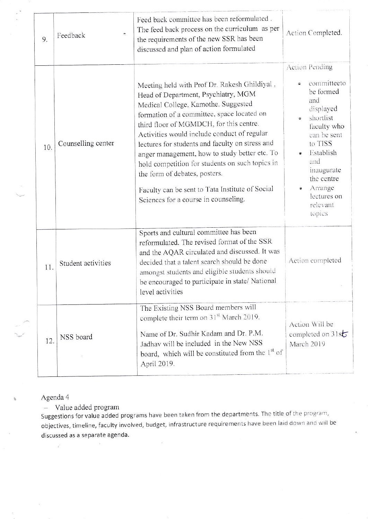| 9.  | $\bullet\bullet$<br>Feedback | Feed back committee has been reformulated.<br>The feed back process on the curriculum as per<br>the requirements of the new SSR has been<br>discussed and plan of action formulated                                                                                                                                                                                                                                                                                                                                                                   | Action Completed.                                                                                                                                                                                                                |
|-----|------------------------------|-------------------------------------------------------------------------------------------------------------------------------------------------------------------------------------------------------------------------------------------------------------------------------------------------------------------------------------------------------------------------------------------------------------------------------------------------------------------------------------------------------------------------------------------------------|----------------------------------------------------------------------------------------------------------------------------------------------------------------------------------------------------------------------------------|
| 10. | Counselling center           | Meeting held with Prof Dr. Rakesh Ghildiyal,<br>Head of Department, Psychiatry, MGM<br>Medical College, Kamothe. Suggested<br>formation of a committee, space located on<br>third floor of MGMDCH, for this centre.<br>Activities would include conduct of regular<br>lectures for students and faculty on stress and<br>anger management, how to study better etc. To<br>hold competition for students on such topics in<br>the form of debates, posters.<br>Faculty can be sent to Tata Institute of Social<br>Sciences for a course in counseling. | <b>Action Pending</b><br>committeeto<br>be formed<br>and<br>displayed<br>shortlist<br>faculty who<br>can be sent<br>to TISS<br>Establish<br>and<br>inaugurate<br>the centre<br>Arrange<br>۰<br>lectures on<br>relevant<br>topics |
| 11. | Student activities           | Sports and cultural committee has been<br>reformulated. The revised format of the SSR<br>and the AQAR circulated and discussed. It was<br>decided that a talent search should be done<br>amongst students and eligible students should<br>be encouraged to participate in state/ National<br>level activities                                                                                                                                                                                                                                         | Action completed                                                                                                                                                                                                                 |
| 12. | NSS board                    | The Existing NSS Board members will<br>complete their term on 31 <sup>st</sup> March 2019.<br>Name of Dr. Sudhir Kadam and Dr. P.M.<br>Jadhav will be included in the New NSS<br>board, which will be constituted from the 1 <sup>st</sup> of<br>April 2019.                                                                                                                                                                                                                                                                                          | Action Will be<br>completed on $31s$<br>March 2019                                                                                                                                                                               |

Agenda 4

 $\chi^2$ 

- Value added program

 $\alpha$ 

Suggestions for value added programs have been taken from the departments. The title of the program, objectives, timeline, faculty involved, budget, infrastructure requirements have been laid down and will be discussed as a separate agenda.